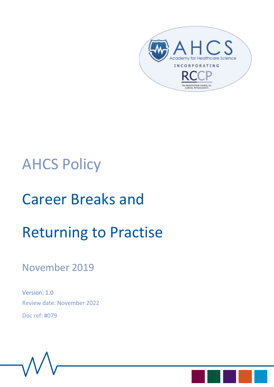

# AHCS Policy

# Career Breaks and

# Returning to Practise

# November 2019

Version: 1.0 Review date: November 2022 Doc ref: #079

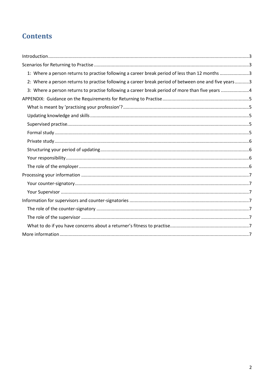# **Contents**

| 1: Where a person returns to practise following a career break period of less than 12 months 3       |  |
|------------------------------------------------------------------------------------------------------|--|
| 2: Where a person returns to practise following a career break period of between one and five years3 |  |
| 3: Where a person returns to practise following a career break period of more than five years 4      |  |
|                                                                                                      |  |
|                                                                                                      |  |
|                                                                                                      |  |
|                                                                                                      |  |
|                                                                                                      |  |
|                                                                                                      |  |
|                                                                                                      |  |
|                                                                                                      |  |
|                                                                                                      |  |
|                                                                                                      |  |
|                                                                                                      |  |
|                                                                                                      |  |
|                                                                                                      |  |
|                                                                                                      |  |
|                                                                                                      |  |
|                                                                                                      |  |
|                                                                                                      |  |
|                                                                                                      |  |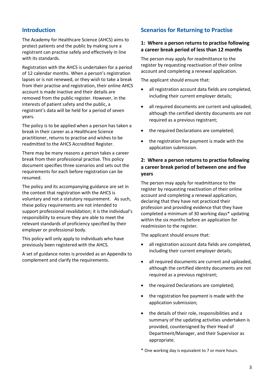### <span id="page-2-0"></span>**Introduction**

The Academy for Healthcare Science (AHCS) aims to protect patients and the public by making sure a registrant can practise safely and effectively in line with its standards.

Registration with the AHCS is undertaken for a period of 12 calendar months. When a person's registration lapses or is not renewed, or they wish to take a break from their practise and registration, their online AHCS account is made inactive and their details are removed from the public register. However, in the interests of patient safety and the public, a registrant's data will be held for a period of seven years.

The policy is to be applied when a person has taken a break in their career as a Healthcare Science practitioner, returns to practise and wishes to be readmitted to the AHCS Accredited Register.

There may be many reasons a person takes a career break from their professional practise. This policy document specifies three scenarios and sets out the requirements for each before registration can be resumed.

The policy and its accompanying guidance are set in the context that registration with the AHCS is voluntary and not a statutory requirement. As such, these policy requirements are not intended to support professional revalidation; it is the individual's responsibility to ensure they are able to meet the relevant standards of proficiency specified by their employer or professional body.

This policy will only apply to individuals who have previously been registered with the AHCS.

A set of guidance notes is provided as an Appendix to complement and clarify the requirements.

### <span id="page-2-1"></span>**Scenarios for Returning to Practise**

#### <span id="page-2-2"></span>**1: Where a person returns to practise following a career break period of less than 12 months**

The person may apply for readmittance to the register by requesting reactivation of their online account and completing a renewal application.

The applicant should ensure that:

- all registration account data fields are completed, including their current employer details;
- all required documents are current and uploaded, although the certified identity documents are not required as a previous registrant;
- the required Declarations are completed;
- the registration fee payment is made with the application submission.

#### <span id="page-2-3"></span>**2: Where a person returns to practise following a career break period of between one and five years**

The person may apply for readmittance to the register by requesting reactivation of their online account and completing a renewal application, declaring that they have not practiced their profession and providing evidence that they have completed a minimum of 30 working days\* updating within the six months before an application for readmission to the register.

The applicant should ensure that:

- all registration account data fields are completed, including their current employer details;
- all required documents are current and uploaded, although the certified identity documents are not required as a previous registrant;
- the required Declarations are completed;
- the registration fee payment is made with the application submission;
- the details of their role, responsibilities and a summary of the updating activities undertaken is provided, countersigned by their Head of Department/Manager, and their Supervisor as appropriate.

\* One working day is equivalent to 7 or more hours.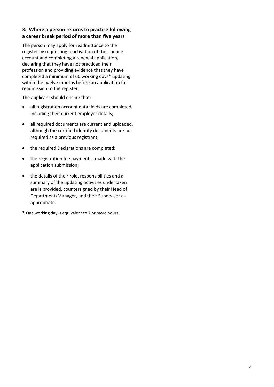#### <span id="page-3-0"></span>**3: Where a person returns to practise following a career break period of more than five years**

The person may apply for readmittance to the register by requesting reactivation of their online account and completing a renewal application, declaring that they have not practiced their profession and providing evidence that they have completed a minimum of 60 working days\* updating within the twelve months before an application for readmission to the register.

The applicant should ensure that:

- all registration account data fields are completed, including their current employer details;
- all required documents are current and uploaded, although the certified identity documents are not required as a previous registrant;
- the required Declarations are completed;
- the registration fee payment is made with the application submission;
- the details of their role, responsibilities and a summary of the updating activities undertaken are is provided, countersigned by their Head of Department/Manager, and their Supervisor as appropriate.
- \* One working day is equivalent to 7 or more hours.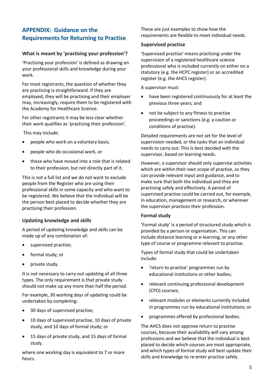## <span id="page-4-0"></span>**APPENDIX: Guidance on the Requirements for Returning to Practise**

#### <span id="page-4-1"></span>**What is meant by 'practising your profession'?**

'Practising your profession' is defined as drawing on your professional skills and knowledge during your work.

For most registrants, the question of whether they are practising is straightforward. If they are employed, they will be practising and their employer may, increasingly, require them to be registered with the Academy for Healthcare Science.

For other registrants it may be less clear whether their work qualifies as 'practising their profession'.

This may include:

- people who work on a voluntary basis;
- people who do occasional work, or
- those who have moved into a role that is related to their profession, but not directly part of it.

This is not a full list and we do not want to exclude people from the Register who are using their professional skills in some capacity and who want to be registered. We believe that the individual will be the person best placed to decide whether they are practising their profession.

#### <span id="page-4-2"></span>**Updating knowledge and skills**

A period of updating knowledge and skills can be made up of any combination of:

- supervised practise;
- formal study; or
- private study.

It is not necessary to carry out updating of all three types. The only requirement is that private study should not make up any more than half the period.

For example, 30 working days of updating could be undertaken by completing:

- 30 days of supervised practise;
- 10 days of supervised practise, 10 days of private study, and 10 days of formal study; or
- 15 days of private study, and 15 days of formal study.

where one working day is equivalent to 7 or more hours.

These are just examples to show how the requirements are flexible to meet individual needs.

#### <span id="page-4-3"></span>**Supervised practise**

'Supervised practise' means practising under the supervision of a registered healthcare science professional who is included currently on either on a statutory (e.g. the HCPC register) or an accredited register (e.g. the AHCS register).

A supervisor must:

- have been registered continuously for at least the previous three years; and
- not be subject to any fitness to practise proceedings or sanctions (e.g. a caution or conditions of practise).

Detailed requirements are not set for the level of supervision needed, or the tasks that an individual needs to carry out. This is best decided with the supervisor, based on learning needs.

However, a supervisor should only supervise activities which are within their own scope of practise, so they can provide relevant input and guidance, and to make sure that both the individual and they are practising safely and effectively. A period of supervised practise could be carried out, for example, in education, management or research, or wherever the supervisor practices their profession.

#### <span id="page-4-4"></span>**Formal study**

'Formal study' is a period of structured study which is provided by a person or organisation. This can include distance learning or e-learning, or any other type of course or programme relevant to practise.

Types of formal study that could be undertaken include:

- 'return to practise' programmes run by educational institutions or other bodies;
- relevant continuing professional development (CPD) courses;
- relevant modules or elements currently included in programmes run by educational institutions; or
- programmes offered by professional bodies.

The AHCS does not approve return to practise courses, because their availability will vary among professions and we believe that the individual is best placed to decide which courses are most appropriate, and which types of formal study will best update their skills and knowledge to re-enter practise safely.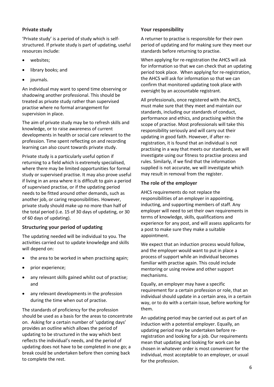#### <span id="page-5-0"></span>**Private study**

'Private study' is a period of study which is selfstructured. If private study is part of updating, useful resources include:

- websites;
- library books; and
- journals.

An individual may want to spend time observing or shadowing another professional. This should be treated as private study rather than supervised practise where no formal arrangement for supervision in place.

The aim of private study may be to refresh skills and knowledge, or to raise awareness of current developments in health or social care relevant to the profession. Time spent reflecting on and recording learning can also count towards private study.

Private study is a particularly useful option if returning to a field which is extremely specialised, where there may be limited opportunities for formal study or supervised practise. It may also prove useful if living in an area where it is difficult to gain a period of supervised practise, or if the updating period needs to be fitted around other demands, such as another job, or caring responsibilities. However, private study should make up no more than half of the total period (i.e. 15 of 30 days of updating, or 30 of 60 days of updating).

#### <span id="page-5-1"></span>**Structuring your period of updating**

The updating needed will be individual to you. The activities carried out to update knowledge and skills will depend on:

- the area to be worked in when practising again;
- prior experience;
- any relevant skills gained whilst out of practise; and
- any relevant developments in the profession during the time when out of practise.

The standards of proficiency for the profession should be used as a basis for the areas to concentrate on. Asking for a certain number of 'updating days' provides an outline which allows the period of updating to be structured in the way which best reflects the individual's needs, and the period of updating does not have to be completed in one go; a break could be undertaken before then coming back to complete the rest.

#### <span id="page-5-2"></span>**Your responsibility**

A returner to practise is responsible for their own period of updating and for making sure they meet our standards before returning to practise.

When applying for re-registration the AHCS will ask for information so that we can check that an updating period took place. When applying for re-registration, the AHCS will ask for information so that we can confirm that monitored updating took place with oversight by an accountable registrant.

All professionals, once registered with the AHCS, must make sure that they meet and maintain our standards, including our standards of conduct, performance and ethics, and practising within the scope of practise. Most professionals will take this responsibility seriously and will carry out their updating in good faith. However, if after reregistration, it is found that an individual is not practising in a way that meets our standards, we will investigate using our fitness to practise process and rules. Similarly, if we find that the information supplied is not accurate, we will investigate which may result in removal from the register.

#### <span id="page-5-3"></span>**The role of the employer**

AHCS requirements do not replace the responsibilities of an employer in appointing, inducting, and supporting members of staff. Any employer will need to set their own requirements in terms of knowledge, skills, qualifications and experience for any post, and will assess applicants for a post to make sure they make a suitable appointment.

We expect that an induction process would follow, and the employer would want to put in place a process of support while an individual becomes familiar with practise again. This could include mentoring or using review and other support mechanisms.

Equally, an employer may have a specific requirement for a certain profession or role, that an individual should update in a certain area, in a certain way, or to do with a certain issue, before working for them.

An updating period may be carried out as part of an induction with a potential employer. Equally, an updating period may be undertaken before reregistration and looking for a job. Our requirements mean that updating and looking for work can be chosen in whatever order is most convenient for the individual, most acceptable to an employer, or usual for the profession.